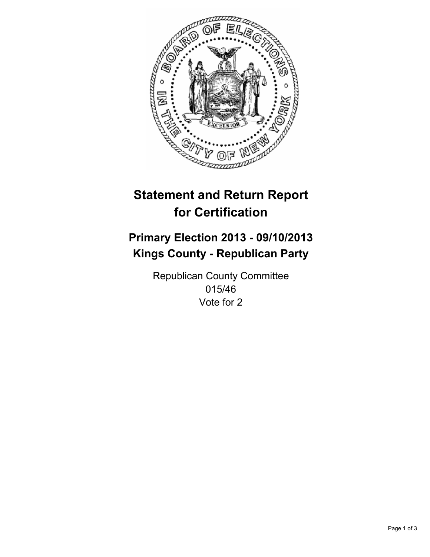

# **Statement and Return Report for Certification**

# **Primary Election 2013 - 09/10/2013 Kings County - Republican Party**

Republican County Committee 015/46 Vote for 2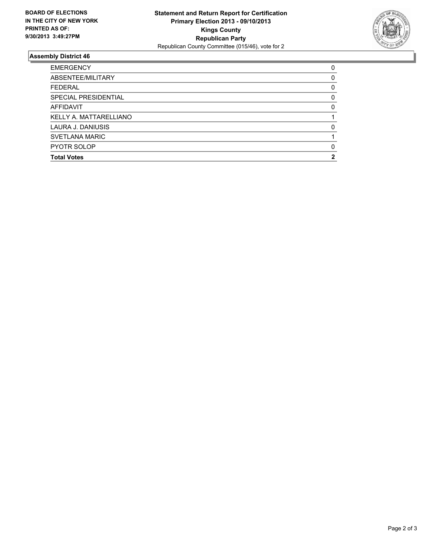

## **Assembly District 46**

| <b>EMERGENCY</b>       | $\Omega$ |
|------------------------|----------|
| ABSENTEE/MILITARY      | 0        |
| <b>FEDERAL</b>         | 0        |
| SPECIAL PRESIDENTIAL   | $\Omega$ |
| AFFIDAVIT              | 0        |
| KELLY A. MATTARELLIANO |          |
| LAURA J. DANIUSIS      | $\Omega$ |
| <b>SVETLANA MARIC</b>  |          |
| <b>PYOTR SOLOP</b>     | $\Omega$ |
| <b>Total Votes</b>     | 2        |